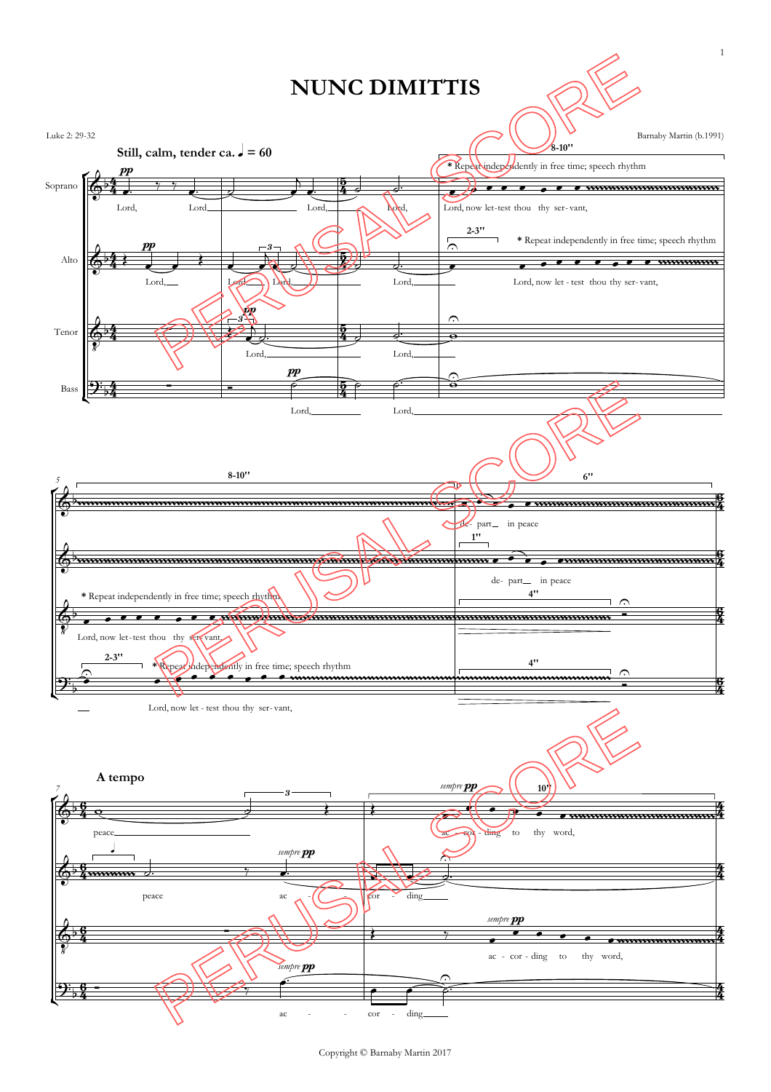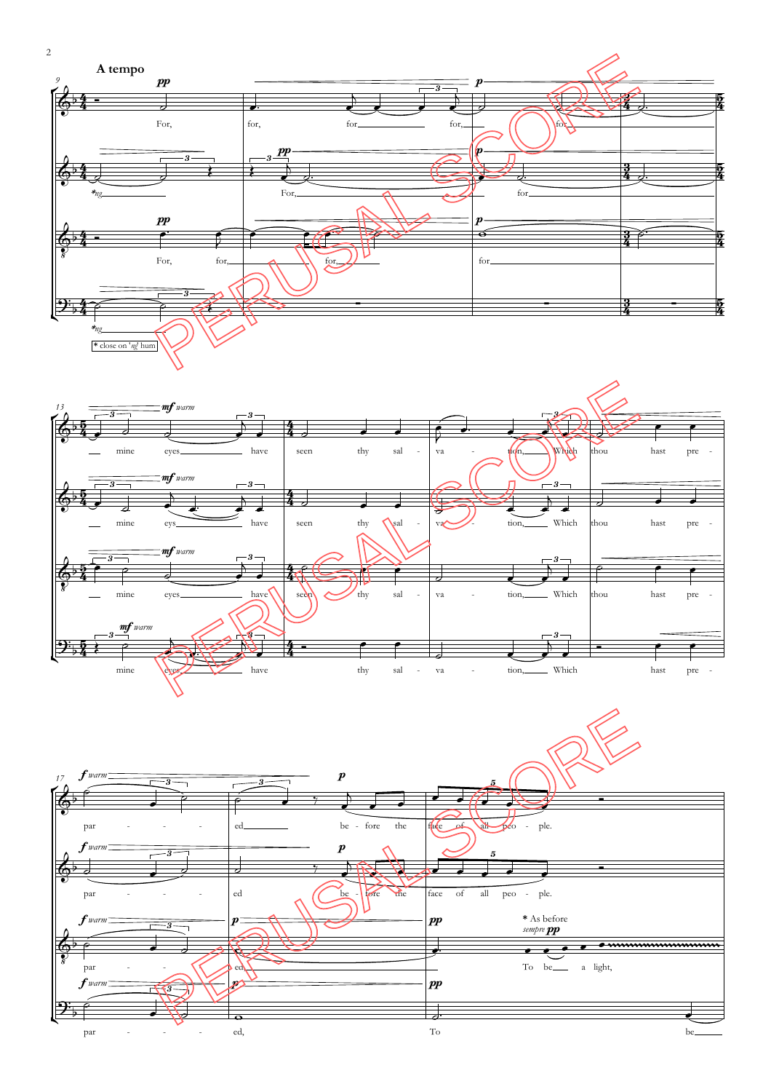



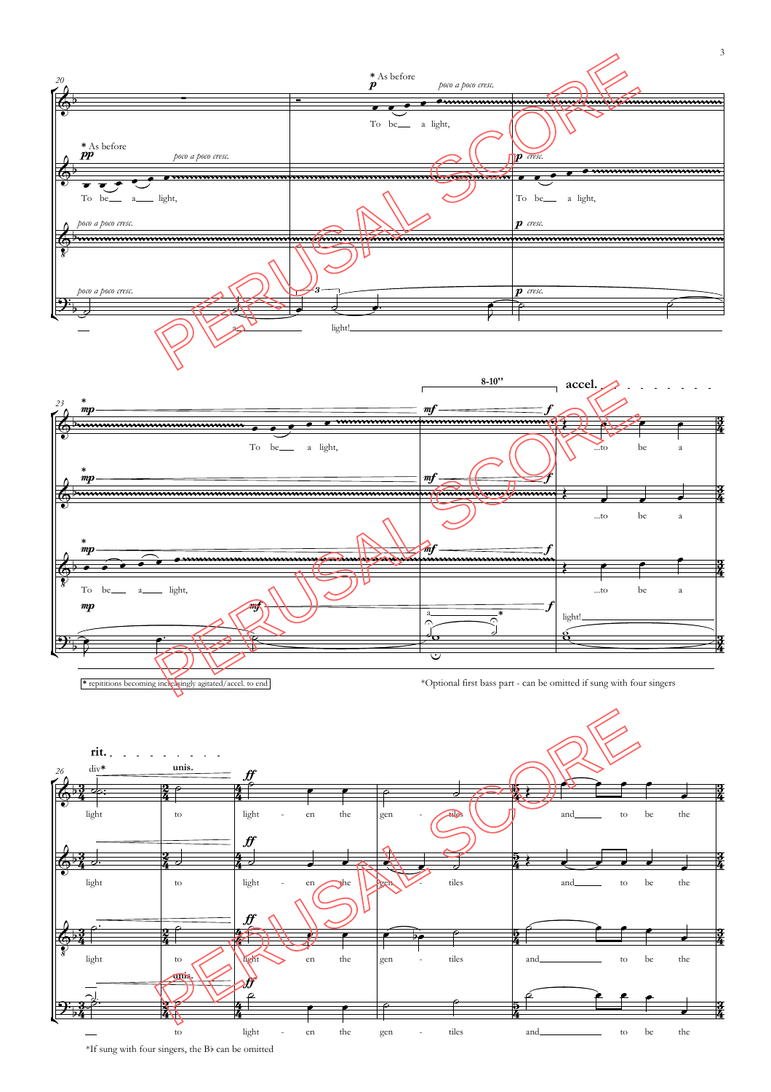





\*If sung with four singers, the Bb can be omitted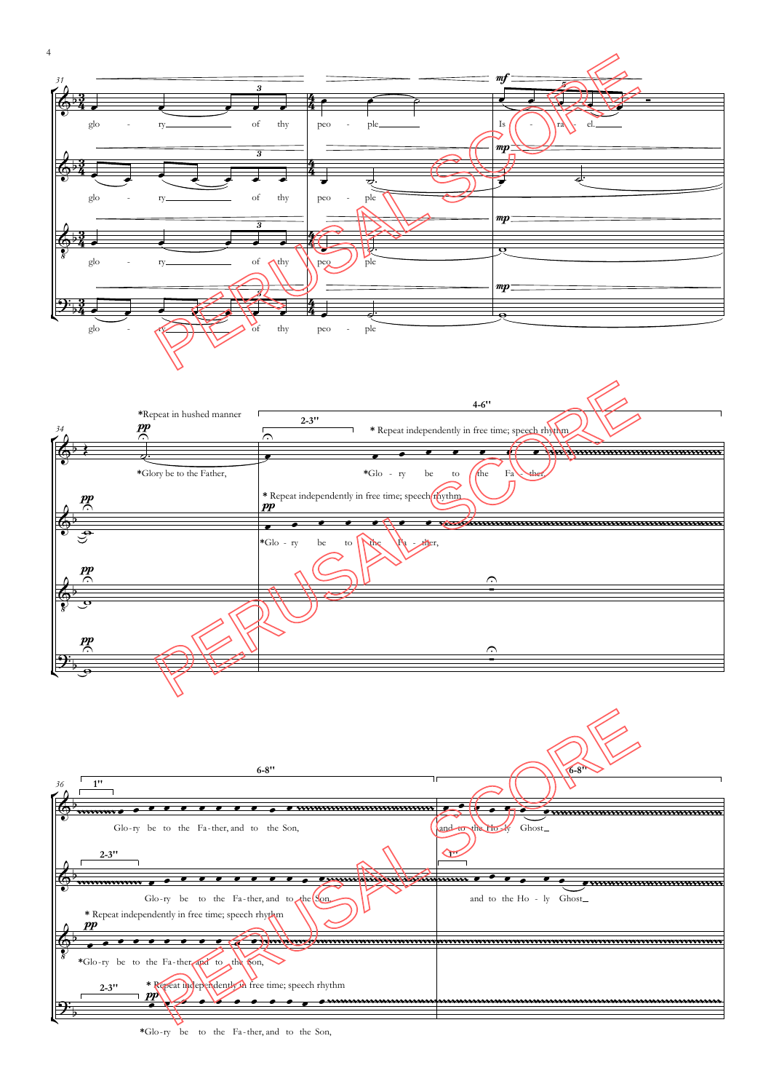





\*Glo-ry be to the Fa-ther, and to the Son,